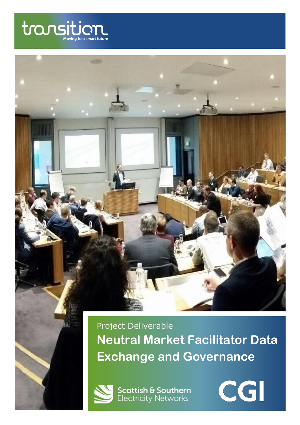

Project Deliverable **Neutral Market Facilitator Data Exchange and Governance** 



**Scottish & Southern**<br>Electricity Networks

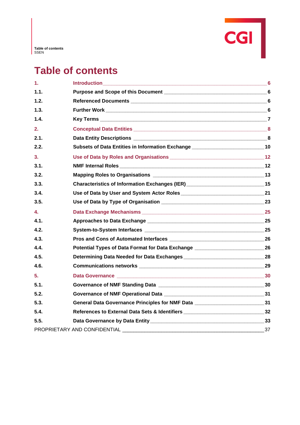

# **Table of contents**

| 1.   |                                                                                     |                 |
|------|-------------------------------------------------------------------------------------|-----------------|
| 1.1. |                                                                                     |                 |
| 1.2. |                                                                                     | $6\phantom{1}6$ |
| 1.3. |                                                                                     |                 |
| 1.4. |                                                                                     |                 |
| 2.   |                                                                                     |                 |
| 2.1. |                                                                                     |                 |
| 2.2. | Subsets of Data Entities in Information Exchange _______________________________10  |                 |
| 3.   |                                                                                     |                 |
| 3.1. |                                                                                     |                 |
| 3.2. |                                                                                     |                 |
| 3.3. | Characteristics of Information Exchanges (IER) _________________________________15  |                 |
| 3.4. |                                                                                     |                 |
| 3.5. |                                                                                     |                 |
| 4.   |                                                                                     |                 |
| 4.1. |                                                                                     |                 |
| 4.2. |                                                                                     |                 |
| 4.3. |                                                                                     |                 |
| 4.4. | Potential Types of Data Format for Data Exchange ________________________________26 |                 |
| 4.5. |                                                                                     |                 |
| 4.6. |                                                                                     |                 |
| 5.   |                                                                                     |                 |
| 5.1. |                                                                                     |                 |
| 5.2. |                                                                                     |                 |
| 5.3. | General Data Governance Principles for NMF Data _______________________________31   |                 |
| 5.4. | References to External Data Sets & Identifiers _________________________________32  |                 |
| 5.5. |                                                                                     |                 |
|      | PROPRIETARY AND CONFIDENTIAL                                                        | 37              |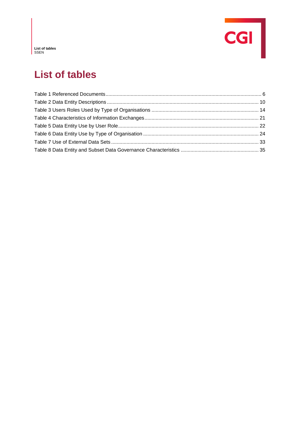

**List of tables** SSEN

# **List of tables**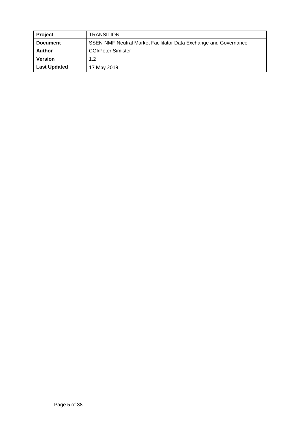| Project             | <b>TRANSITION</b>                                                |
|---------------------|------------------------------------------------------------------|
| <b>Document</b>     | SSEN-NMF Neutral Market Facilitator Data Exchange and Governance |
| Author              | <b>CGI/Peter Simister</b>                                        |
| <b>Version</b>      | 1.2                                                              |
| <b>Last Updated</b> | 17 May 2019                                                      |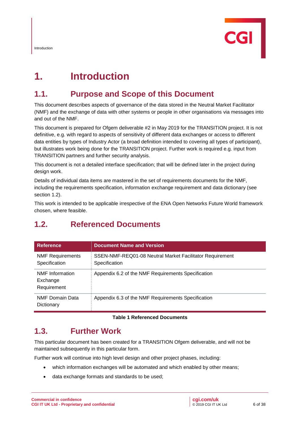

# **1. Introduction**

## **1.1. Purpose and Scope of this Document**

This document describes aspects of governance of the data stored in the Neutral Market Facilitator (NMF) and the exchange of data with other systems or people in other organisations via messages into and out of the NMF.

This document is prepared for Ofgem deliverable #2 in May 2019 for the TRANSITION project. It is not definitive, e.g. with regard to aspects of sensitivity of different data exchanges or access to different data entities by types of Industry Actor (a broad definition intended to covering all types of participant), but illustrates work being done for the TRANSITION project. Further work is required e.g. input from TRANSITION partners and further security analysis.

This document is not a detailed interface specification; that will be defined later in the project during design work.

Details of individual data items are mastered in the set of requirements documents for the NMF, including the requirements specification, information exchange requirement and data dictionary (see section [1.2\)](#page-4-1).

This work is intended to be applicable irrespective of the ENA Open Networks Future World framework chosen, where feasible.

| <b>Reference</b>                                  | <b>Document Name and Version</b>                                          |
|---------------------------------------------------|---------------------------------------------------------------------------|
| <b>NMF Requirements</b><br>Specification          | SSEN-NMF-REQ01-08 Neutral Market Facilitator Requirement<br>Specification |
| <b>NMF</b> Information<br>Exchange<br>Requirement | Appendix 6.2 of the NMF Requirements Specification                        |
| NMF Domain Data<br>Dictionary                     | Appendix 6.3 of the NMF Requirements Specification                        |

## <span id="page-4-1"></span>**1.2. Referenced Documents**

#### **Table 1 Referenced Documents**

#### <span id="page-4-0"></span>**1.3. Further Work**

This particular document has been created for a TRANSITION Ofgem deliverable, and will not be maintained subsequently in this particular form.

Further work will continue into high level design and other project phases, including:

- which information exchanges will be automated and which enabled by other means;
- data exchange formats and standards to be used;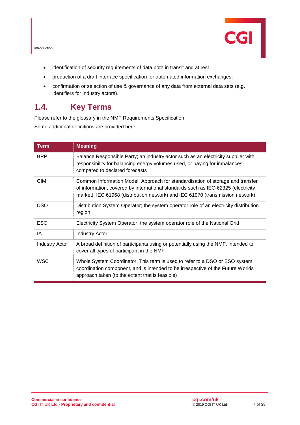Introduction



- identification of security requirements of data both in transit and at rest
- production of a draft interface specification for automated information exchanges;
- confirmation or selection of use & governance of any data from external data sets (e.g. identifiers for industry actors).

#### **1.4. Key Terms**

Please refer to the glossary in the NMF Requirements Specification.

Some additional definitions are provided here.

| <b>Term</b>           | <b>Meaning</b>                                                                                                                                                                                                                                        |
|-----------------------|-------------------------------------------------------------------------------------------------------------------------------------------------------------------------------------------------------------------------------------------------------|
| <b>BRP</b>            | Balance Responsible Party; an industry actor such as an electricity supplier with<br>responsibility for balancing energy volumes used, or paying for imbalances,<br>compared to declared forecasts                                                    |
| <b>CIM</b>            | Common Information Model. Approach for standardisation of storage and transfer<br>of information, covered by international standards such as IEC-62325 (electricity<br>market), IEC 61968 (distribution network) and IEC 61970 (transmission network) |
| <b>DSO</b>            | Distribution System Operator; the system operator role of an electricity distribution<br>region                                                                                                                                                       |
| <b>ESO</b>            | Electricity System Operator; the system operator role of the National Grid                                                                                                                                                                            |
| IA                    | <b>Industry Actor</b>                                                                                                                                                                                                                                 |
| <b>Industry Actor</b> | A broad definition of participants using or potentially using the NMF, intended to<br>cover all types of participant in the NMF                                                                                                                       |
| <b>WSC</b>            | Whole System Coordinator. This term is used to refer to a DSO or ESO system<br>coordination component, and is intended to be irrespective of the Future Worlds<br>approach taken (to the extent that is feasible)                                     |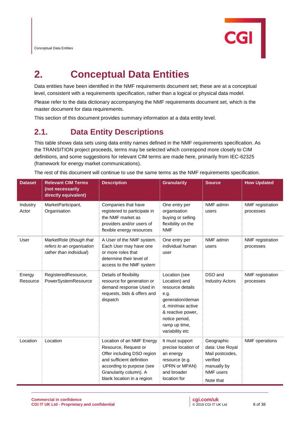

# **2. Conceptual Data Entities**

Data entities have been identified in the NMF requirements document set; these are at a conceptual level, consistent with a requirements specification, rather than a logical or physical data model.

Please refer to the data dictionary accompanying the NMF requirements document set, which is the master document for data requirements.

This section of this document provides summary information at a data entity level.

## **2.1. Data Entity Descriptions**

This table shows data sets using data entity names defined in the NMF requirements specification. As the TRANSITION project proceeds, terms may be selected which correspond more closely to CIM definitions, and some suggestions for relevant CIM terms are made here, primarily from IEC-62325 (framework for energy market communications).

The rest of this document will continue to use the same terms as the NMF requirements specification.

| <b>Dataset</b>     | <b>Relevant CIM Terms</b><br>(not necessarily<br>directly equivalent)           | <b>Description</b>                                                                                                                                                                                | <b>Granularity</b>                                                                                                                                                             | <b>Source</b>                                                                                                | <b>How Updated</b>                   |
|--------------------|---------------------------------------------------------------------------------|---------------------------------------------------------------------------------------------------------------------------------------------------------------------------------------------------|--------------------------------------------------------------------------------------------------------------------------------------------------------------------------------|--------------------------------------------------------------------------------------------------------------|--------------------------------------|
| Industry<br>Actor  | MarketParticipant,<br>Organisation                                              | Companies that have<br>registered to participate in<br>the NMF market as<br>providers and/or users of<br>flexible energy resources                                                                | One entry per<br>organisation<br>buying or selling<br>flexibility on the<br><b>NMF</b>                                                                                         | NMF admin<br>users                                                                                           | NMF registration<br>processes        |
| User               | MarketRole (though that<br>refers to an organisation<br>rather than individual) | A User of the NMF system.<br>Each User may have one<br>or more roles that<br>determine their level of<br>access to the NMF system                                                                 | One entry per<br>individual human<br>user                                                                                                                                      | NMF admin<br>users                                                                                           | <b>NMF</b> registration<br>processes |
| Energy<br>Resource | RegisteredResource,<br>PowerSystemResource                                      | Details of flexibility<br>resource for generation or<br>demand response Used in<br>requests, bids & offers and<br>dispatch                                                                        | Location (see<br>Location) and<br>resource details<br>e.g.<br>generation/deman<br>d, min/max active<br>& reactive power,<br>notice period,<br>ramp up time,<br>variability etc | DSO and<br><b>Industry Actors</b>                                                                            | NMF registration<br>processes        |
| Location           | Location                                                                        | Location of an NMF Energy<br>Resource, Request or<br>Offer including DSO region<br>and sufficient definition<br>according to purpose (see<br>Granularity column). A<br>blank location in a region | It must support<br>precise location of<br>an energy<br>resource (e.g.<br>UPRN or MPAN)<br>and broader<br>location for                                                          | Geographic<br>data: Use Royal<br>Mail postcodes,<br>verified<br>manually by<br><b>NMF</b> users<br>Note that | <b>NMF</b> operations                |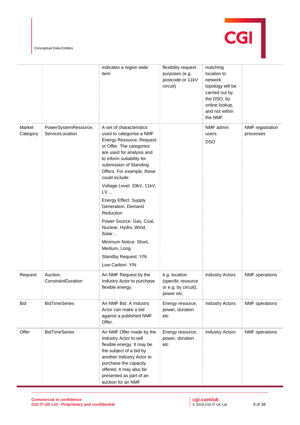Conceptual Data Entities



|                    |                                         | indicates a region wide<br>item                                                                                                                                                                                                                                                | flexibility request<br>purposes (e.g.<br>postcode or 11kV<br>circuit)     | matching<br>location to<br>network<br>topology will be<br>carried out by<br>the DSO, by<br>online lookup,<br>and not within<br>the NMF |                               |
|--------------------|-----------------------------------------|--------------------------------------------------------------------------------------------------------------------------------------------------------------------------------------------------------------------------------------------------------------------------------|---------------------------------------------------------------------------|----------------------------------------------------------------------------------------------------------------------------------------|-------------------------------|
| Market<br>Category | PowerSystemResource,<br>ServiceLocation | A set of characteristics<br>used to categorise a NMF<br>Energy Resource, Request<br>or Offer. The categories<br>are used for analysis and<br>to inform suitability for<br>submission of Standing<br>Offers. For example, these<br>could include:<br>Voltage Level: 33kV, 11kV, |                                                                           | NMF admin<br>users.<br><b>DSO</b>                                                                                                      | NMF registration<br>processes |
|                    |                                         | LV<br>Energy Effect: Supply<br>Generation, Demand<br>Reduction<br>Power Source: Gas, Coal,<br>Nuclear, Hydro, Wind,<br>Solar<br>Minimum Notice: Short,<br>Medium, Long<br>Standby Request: Y/N<br>Low Carbon: Y/N                                                              |                                                                           |                                                                                                                                        |                               |
| Request            | Auction,<br>ConstraintDuration          | An NMF Request by the<br>Industry Actor to purchase<br>flexible energy.                                                                                                                                                                                                        | e.g. location<br>(specific resource<br>or e.g. by circuit),<br>power etc. | <b>Industry Actors</b>                                                                                                                 | <b>NMF</b> operations         |
| <b>Bid</b>         | <b>BidTimeSeries</b>                    | An NMF Bid. A Industry<br>Actor can make a bid<br>against a published NMF<br>Offer.                                                                                                                                                                                            | Energy resource,<br>power, duration<br>etc                                | <b>Industry Actors</b>                                                                                                                 | <b>NMF</b> operations         |
| Offer              | <b>BidTimeSeries</b>                    | An NMF Offer made by the<br>Industry Actor to sell<br>flexible energy. It may be<br>the subject of a bid by<br>another Industry Actor to<br>purchase the capacity<br>offered. It may also be<br>presented as part of an<br>auction for an NMF                                  | Energy resource,<br>power, duration<br>etc                                | <b>Industry Actors</b>                                                                                                                 | NMF operations                |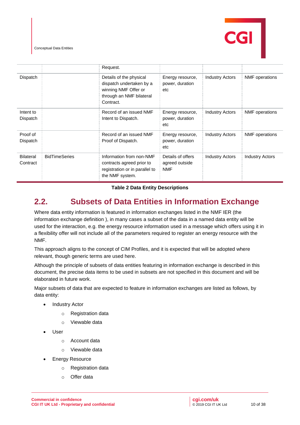Conceptual Data Entities



<span id="page-8-1"></span>

|                              |                      | Request.                                                                                                             |                                                   |                        |                        |
|------------------------------|----------------------|----------------------------------------------------------------------------------------------------------------------|---------------------------------------------------|------------------------|------------------------|
| Dispatch                     |                      | Details of the physical<br>dispatch undertaken by a<br>winning NMF Offer or<br>through an NMF bilateral<br>Contract. | Energy resource,<br>power, duration<br>etc        | <b>Industry Actors</b> | <b>NMF</b> operations  |
| Intent to<br>Dispatch        |                      | Record of an issued NMF<br>Intent to Dispatch.                                                                       | Energy resource,<br>power, duration<br>etc        | <b>Industry Actors</b> | NMF operations         |
| Proof of<br>Dispatch         |                      | Record of an issued NMF<br>Proof of Dispatch.                                                                        | Energy resource,<br>power, duration<br>etc        | <b>Industry Actors</b> | <b>NMF</b> operations  |
| <b>Bilateral</b><br>Contract | <b>BidTimeSeries</b> | Information from non-NMF<br>contracts agreed prior to<br>registration or in parallel to<br>the NMF system.           | Details of offers<br>agreed outside<br><b>NMF</b> | <b>Industry Actors</b> | <b>Industry Actors</b> |

#### **Table 2 Data Entity Descriptions**

## <span id="page-8-0"></span>**2.2. Subsets of Data Entities in Information Exchange**

Where data entity information is featured in information exchanges listed in the NMF IER (the information exchange definition ), in many cases a subset of the data in a named data entity will be used for the interaction, e.g. the energy resource information used in a message which offers using it in a flexibility offer will not include all of the parameters required to register an energy resource with the NMF.

This approach aligns to the concept of CIM Profiles, and it is expected that will be adopted where relevant, though generic terms are used here.

Although the principle of subsets of data entities featuring in information exchange is described in this document, the precise data items to be used in subsets are not specified in this document and will be elaborated in future work.

Major subsets of data that are expected to feature in information exchanges are listed as follows, by data entity:

- **Industry Actor** 
	- o Registration data
	- o Viewable data
- User
	- o Account data
	- o Viewable data
- **Energy Resource** 
	- o Registration data
	- o Offer data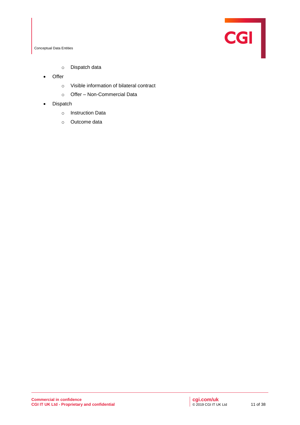**CGI** 

Conceptual Data Entities

- o Dispatch data
- Offer
	- o Visible information of bilateral contract
	- o Offer Non-Commercial Data
- Dispatch
	- o Instruction Data
	- o Outcome data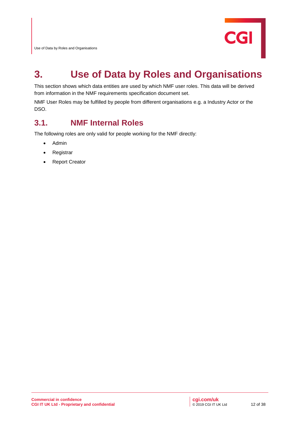

This section shows which data entities are used by which NMF user roles. This data will be derived from information in the NMF requirements specification document set.

NMF User Roles may be fulfilled by people from different organisations e.g. a Industry Actor or the DSO.

## **3.1. NMF Internal Roles**

The following roles are only valid for people working for the NMF directly:

- Admin
- **Registrar**
- Report Creator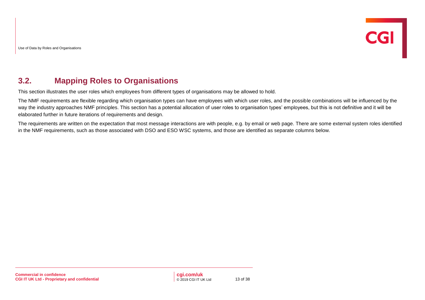#### <span id="page-11-0"></span>**3.2. Mapping Roles to Organisations**

This section illustrates the user roles which employees from different types of organisations may be allowed to hold.

The NMF requirements are flexible regarding which organisation types can have employees with which user roles, and the possible combinations will be influenced by the way the industry approaches NMF principles. This section has a potential allocation of user roles to organisation types' employees, but this is not definitive and it will be elaborated further in future iterations of requirements and design.

The requirements are written on the expectation that most message interactions are with people, e.g. by email or web page. There are some external system roles identified in the NMF requirements, such as those associated with DSO and ESO WSC systems, and those are identified as separate columns below.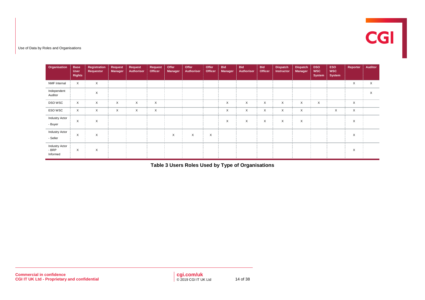

| Organisation                               | <b>Base</b><br><b>User</b><br><b>Rights</b> | <b>Registration</b><br>Requestor | Request<br><b>Manager</b> | Request<br><b>Authoriser</b> | <b>Request</b><br>Officer | Offer<br>Manager | Offer<br>Authoriser | Offer<br>Officer | <b>Bid</b><br>Manager | <b>Bid</b><br>Authoriser | <b>Bid</b><br>Officer | <b>Dispatch</b><br>Instructor | <b>Dispatch</b><br><b>Manager</b> | <b>DSO</b><br><b>WSC</b><br><b>System</b> | <b>ESO</b><br><b>WSC</b><br><b>System</b> | Reporter | <b>Auditor</b> |
|--------------------------------------------|---------------------------------------------|----------------------------------|---------------------------|------------------------------|---------------------------|------------------|---------------------|------------------|-----------------------|--------------------------|-----------------------|-------------------------------|-----------------------------------|-------------------------------------------|-------------------------------------------|----------|----------------|
| NMF Internal                               | X                                           | X                                |                           |                              |                           |                  |                     |                  |                       |                          |                       |                               |                                   |                                           |                                           | X        | X              |
| Independent<br>Auditor                     |                                             | X                                |                           |                              |                           |                  |                     |                  |                       |                          |                       |                               |                                   |                                           |                                           |          | X              |
| DSO WSC                                    | X                                           | X                                | X                         | X                            | $\times$                  |                  |                     |                  | X                     | X                        | X                     | X                             | $\times$                          | X                                         |                                           | X        |                |
| ESO WSC                                    | X                                           | X                                | X                         | X                            | $\times$                  |                  |                     |                  | X                     | X                        | X                     | $\times$                      | $\times$                          |                                           | X                                         | X        |                |
| <b>Industry Actor</b><br>- Buyer           | X                                           | X                                |                           |                              |                           |                  |                     |                  | X                     | X                        | X                     | X                             | $\times$                          |                                           |                                           | X        |                |
| <b>Industry Actor</b><br>- Seller          | X                                           | X                                |                           |                              |                           | X                | X                   | X                |                       |                          |                       |                               |                                   |                                           |                                           | X        |                |
| <b>Industry Actor</b><br>- BRP<br>Informed | X                                           | X                                |                           |                              |                           |                  |                     |                  |                       |                          |                       |                               |                                   |                                           |                                           | X        |                |

<span id="page-12-0"></span>**Table 3 Users Roles Used by Type of Organisations**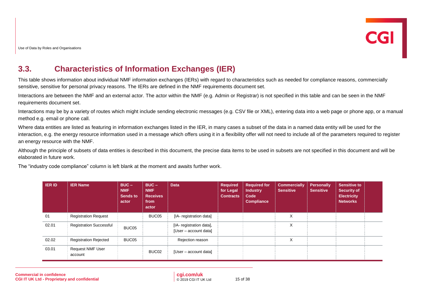## **3.3. Characteristics of Information Exchanges (IER)**

This table shows information about individual NMF information exchanges (IERs) with regard to characteristics such as needed for compliance reasons, commercially sensitive, sensitive for personal privacy reasons. The IERs are defined in the NMF requirements document set.

Interactions are between the NMF and an external actor. The actor within the NMF (e.g. Admin or Registrar) is not specified in this table and can be seen in the NMF requirements document set.

Interactions may be by a variety of routes which might include sending electronic messages (e.g. CSV file or XML), entering data into a web page or phone app, or a manual method e.g. email or phone call.

Where data entities are listed as featuring in information exchanges listed in the IER, in many cases a subset of the data in a named data entity will be used for the interaction, e.g. the energy resource information used in a message which offers using it in a flexibility offer will not need to include all of the parameters required to register an energy resource with the NMF.

Although the principle of subsets of data entities is described in this document, the precise data items to be used in subsets are not specified in this document and will be elaborated in future work.

The "industry code compliance" column is left blank at the moment and awaits further work.

| <b>IERID</b> | <b>IER Name</b>                    | $BUC -$<br><b>NMF</b><br><b>Sends to</b><br>actor | $BUC -$<br><b>NMF</b><br><b>Receives</b><br>from<br>actor | <b>Data</b>                                       | <b>Required</b><br>for Legal<br><b>Contracts</b> | <b>Required for</b><br><b>Industry</b><br>Code<br><b>Compliance</b> | <b>Commercially</b><br><b>Sensitive</b> | <b>Personally</b><br><b>Sensitive</b> | <b>Sensitive to</b><br><b>Security of</b><br><b>Electricity</b><br><b>Networks</b> |  |
|--------------|------------------------------------|---------------------------------------------------|-----------------------------------------------------------|---------------------------------------------------|--------------------------------------------------|---------------------------------------------------------------------|-----------------------------------------|---------------------------------------|------------------------------------------------------------------------------------|--|
| 01           | <b>Registration Request</b>        |                                                   | BUC05                                                     | [IA- registration data]                           |                                                  |                                                                     | X                                       |                                       |                                                                                    |  |
| 02.01        | <b>Registration Successful</b>     | BUC05                                             |                                                           | [IA- registration data],<br>[User - account data] |                                                  |                                                                     | X                                       |                                       |                                                                                    |  |
| 02.02        | <b>Registration Rejected</b>       | BUC05                                             |                                                           | Rejection reason                                  |                                                  |                                                                     | X                                       |                                       |                                                                                    |  |
| 03.01        | <b>Request NMF User</b><br>account |                                                   | BUC <sub>02</sub>                                         | [User – account data]                             |                                                  |                                                                     |                                         |                                       |                                                                                    |  |

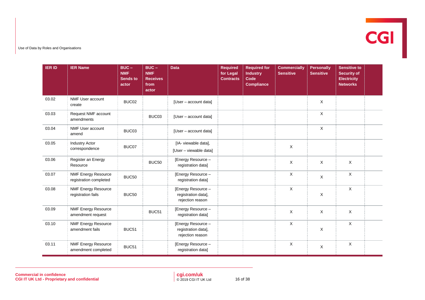

| <b>IER ID</b> | <b>IER Name</b>                                      | $BUC -$<br><b>NMF</b><br><b>Sends to</b><br>actor | $BUC -$<br><b>NMF</b><br><b>Receives</b><br>from<br>actor | <b>Data</b>                                                   | <b>Required</b><br>for Legal<br><b>Contracts</b> | <b>Required for</b><br><b>Industry</b><br>Code<br><b>Compliance</b> | <b>Commercially</b><br><b>Sensitive</b> | <b>Personally</b><br><b>Sensitive</b> | <b>Sensitive to</b><br><b>Security of</b><br><b>Electricity</b><br><b>Networks</b> |  |
|---------------|------------------------------------------------------|---------------------------------------------------|-----------------------------------------------------------|---------------------------------------------------------------|--------------------------------------------------|---------------------------------------------------------------------|-----------------------------------------|---------------------------------------|------------------------------------------------------------------------------------|--|
| 03.02         | <b>NMF User account</b><br>create                    | BUC02                                             |                                                           | [User - account data]                                         |                                                  |                                                                     |                                         | X                                     |                                                                                    |  |
| 03.03         | Request NMF account<br>amendments                    |                                                   | BUC03                                                     | [User - account data]                                         |                                                  |                                                                     |                                         | $\mathsf X$                           |                                                                                    |  |
| 03.04         | <b>NMF User account</b><br>amend                     | BUC03                                             |                                                           | [User - account data]                                         |                                                  |                                                                     |                                         | X                                     |                                                                                    |  |
| 03.05         | <b>Industry Actor</b><br>correspondence              | BUC07                                             |                                                           | [IA- viewable data],<br>[User - viewable data]                |                                                  |                                                                     | X                                       |                                       |                                                                                    |  |
| 03.06         | Register an Energy<br>Resource                       |                                                   | BUC <sub>50</sub>                                         | [Energy Resource -<br>registration data]                      |                                                  |                                                                     | X                                       | X                                     | X                                                                                  |  |
| 03.07         | <b>NMF Energy Resource</b><br>registration completed | BUC50                                             |                                                           | [Energy Resource -<br>registration data]                      |                                                  |                                                                     | X                                       | $\mathsf X$                           | X                                                                                  |  |
| 03.08         | <b>NMF Energy Resource</b><br>registration fails     | BUC <sub>50</sub>                                 |                                                           | [Energy Resource -<br>registration data],<br>rejection reason |                                                  |                                                                     | $\mathsf{X}$                            | X                                     | $\mathsf X$                                                                        |  |
| 03.09         | <b>NMF Energy Resource</b><br>amendment request      |                                                   | BUC51                                                     | [Energy Resource -<br>registration data]                      |                                                  |                                                                     | X                                       | X                                     | $\sf X$                                                                            |  |
| 03.10         | <b>NMF Energy Resource</b><br>amendment fails        | BUC51                                             |                                                           | [Energy Resource -<br>registration data],<br>rejection reason |                                                  |                                                                     | X                                       | X                                     | $\mathsf X$                                                                        |  |
| 03.11         | <b>NMF Energy Resource</b><br>amendment completed    | BUC51                                             |                                                           | [Energy Resource -<br>registration data]                      |                                                  |                                                                     | $\times$                                | $\mathsf X$                           | $\mathsf X$                                                                        |  |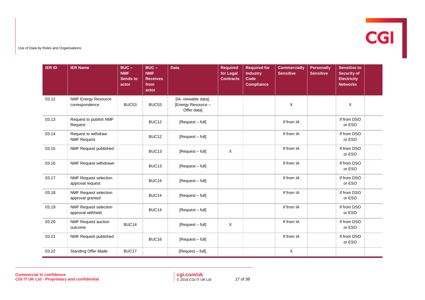

| <b>IER ID</b> | <b>IER Name</b>                                   | $BUC -$<br><b>NMF</b><br><b>Sends to</b><br>actor | $BUC -$<br><b>NMF</b><br><b>Receives</b><br>from<br>actor | <b>Data</b>                                               | <b>Required</b><br>for Legal<br><b>Contracts</b> | <b>Required for</b><br><b>Industry</b><br>Code<br><b>Compliance</b> | <b>Commercially</b><br><b>Sensitive</b> | <b>Personally</b><br><b>Sensitive</b> | <b>Sensitive to</b><br><b>Security of</b><br><b>Electricity</b><br><b>Networks</b> |  |
|---------------|---------------------------------------------------|---------------------------------------------------|-----------------------------------------------------------|-----------------------------------------------------------|--------------------------------------------------|---------------------------------------------------------------------|-----------------------------------------|---------------------------------------|------------------------------------------------------------------------------------|--|
| 03.12         | <b>NMF Energy Resource</b><br>correspondence      | BUC53                                             | BUC53                                                     | [IA- viewable data],<br>[Energy Resource -<br>Offer data] |                                                  |                                                                     | X                                       |                                       | $\mathsf X$                                                                        |  |
| 03.13         | Request to publish NMF<br>Request                 |                                                   | BUC12                                                     | [Request - full]                                          |                                                  |                                                                     | If from IA                              |                                       | If from DSO<br>or ESO                                                              |  |
| 03.14         | Request to withdraw<br><b>NMF Request</b>         |                                                   | BUC12                                                     | [Request - full]                                          |                                                  |                                                                     | If from IA                              |                                       | If from DSO<br>or ESO                                                              |  |
| 03.15         | NMF Request published                             |                                                   | BUC <sub>13</sub>                                         | [Request - full]                                          | X                                                |                                                                     | If from IA                              |                                       | If from DSO<br>or ESO                                                              |  |
| 03.16         | NMF Request withdrawn                             |                                                   | BUC <sub>13</sub>                                         | [Request - full]                                          |                                                  |                                                                     | If from IA                              |                                       | If from DSO<br>or ESO                                                              |  |
| 03.17         | <b>NMF Request selection</b><br>approval request  |                                                   | BUC <sub>14</sub>                                         | [Request - full]                                          |                                                  |                                                                     | If from IA                              |                                       | If from DSO<br>or ESO                                                              |  |
| 03.18         | <b>NMF Request selection</b><br>approval granted  |                                                   | BUC14                                                     | [Request - full]                                          |                                                  |                                                                     | If from IA                              |                                       | If from DSO<br>or ESO                                                              |  |
| 03.19         | <b>NMF Request selection</b><br>approval withheld |                                                   | BUC14                                                     | [Request - full]                                          |                                                  |                                                                     | If from IA                              |                                       | If from DSO<br>or ESO                                                              |  |
| 03.20         | <b>NMF Request auction</b><br>outcome             | BUC14                                             |                                                           | [Request - full]                                          | $\mathsf X$                                      |                                                                     | If from IA                              |                                       | If from DSO<br>or ESO                                                              |  |
| 03.21         | NMF Request published                             |                                                   | BUC16                                                     | [Request - full]                                          |                                                  |                                                                     | If from IA                              |                                       | If from DSO<br>or ESO                                                              |  |
| 03.22         | <b>Standing Offer Made</b>                        | BUC17                                             |                                                           | [Request - full],                                         |                                                  |                                                                     | X                                       |                                       |                                                                                    |  |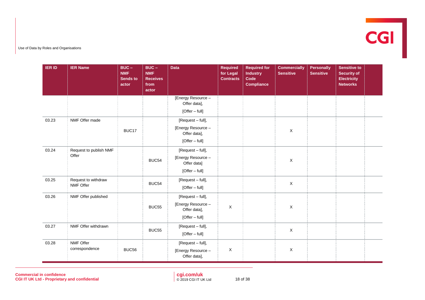

| <b>IER ID</b> | <b>IER Name</b>        | $BUC -$<br><b>NMF</b><br><b>Sends to</b><br>actor | $BUC -$<br><b>NMF</b><br><b>Receives</b><br>from<br>actor | <b>Data</b>                        | <b>Required</b><br>for Legal<br><b>Contracts</b> | <b>Required for</b><br><b>Industry</b><br>Code<br><b>Compliance</b> | <b>Commercially</b><br><b>Sensitive</b> | Personally<br><b>Sensitive</b> | <b>Sensitive to</b><br><b>Security of</b><br><b>Electricity</b><br><b>Networks</b> |  |
|---------------|------------------------|---------------------------------------------------|-----------------------------------------------------------|------------------------------------|--------------------------------------------------|---------------------------------------------------------------------|-----------------------------------------|--------------------------------|------------------------------------------------------------------------------------|--|
|               |                        |                                                   |                                                           | [Energy Resource -<br>Offer data], |                                                  |                                                                     |                                         |                                |                                                                                    |  |
|               |                        |                                                   |                                                           | $[Offer - full]$                   |                                                  |                                                                     |                                         |                                |                                                                                    |  |
| 03.23         | NMF Offer made         |                                                   |                                                           | [Request - full],                  |                                                  |                                                                     |                                         |                                |                                                                                    |  |
|               |                        | BUC17                                             |                                                           | [Energy Resource -<br>Offer data], |                                                  |                                                                     | $\mathsf X$                             |                                |                                                                                    |  |
|               |                        |                                                   |                                                           | $[Offer - full]$                   |                                                  |                                                                     |                                         |                                |                                                                                    |  |
| 03.24         | Request to publish NMF |                                                   |                                                           | [Request - full],                  |                                                  |                                                                     |                                         |                                |                                                                                    |  |
|               | Offer                  |                                                   | BUC54                                                     | [Energy Resource -<br>Offer data]  |                                                  |                                                                     | X                                       |                                |                                                                                    |  |
|               |                        |                                                   |                                                           | $[Offer - full]$                   |                                                  |                                                                     |                                         |                                |                                                                                    |  |
| 03.25         | Request to withdraw    |                                                   | BUC54                                                     | [Request - full],                  |                                                  |                                                                     | $\mathsf X$                             |                                |                                                                                    |  |
|               | NMF Offer              |                                                   |                                                           | [Offer - full]                     |                                                  |                                                                     |                                         |                                |                                                                                    |  |
| 03.26         | NMF Offer published    |                                                   |                                                           | [Request - full],                  |                                                  |                                                                     |                                         |                                |                                                                                    |  |
|               |                        |                                                   | BUC55                                                     | [Energy Resource -<br>Offer data], | $\boldsymbol{\mathsf{X}}$                        |                                                                     | $\mathsf X$                             |                                |                                                                                    |  |
|               |                        |                                                   |                                                           | [Offer - full]                     |                                                  |                                                                     |                                         |                                |                                                                                    |  |
| 03.27         | NMF Offer withdrawn    |                                                   | BUC55                                                     | [Request - full],                  |                                                  |                                                                     | $\mathsf X$                             |                                |                                                                                    |  |
|               |                        |                                                   |                                                           | [Offer - full]                     |                                                  |                                                                     |                                         |                                |                                                                                    |  |
| 03.28         | NMF Offer              |                                                   |                                                           | [Request - full],                  |                                                  |                                                                     |                                         |                                |                                                                                    |  |
|               | correspondence         | <b>BUC56</b>                                      |                                                           | [Energy Resource -<br>Offer data], | $\mathsf X$                                      |                                                                     | X                                       |                                |                                                                                    |  |

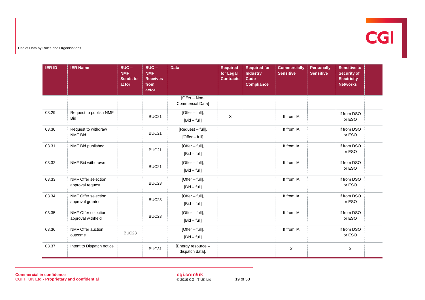

| <b>IER ID</b> | <b>IER Name</b>                                 | $BUC -$<br><b>NMF</b><br><b>Sends to</b><br>actor | $BUC -$<br><b>NMF</b><br><b>Receives</b><br>from<br>actor | <b>Data</b>                           | <b>Required</b><br>for Legal<br><b>Contracts</b> | <b>Required for</b><br><b>Industry</b><br>Code<br><b>Compliance</b> | <b>Commercially</b><br><b>Sensitive</b> | <b>Personally</b><br><b>Sensitive</b> | <b>Sensitive to</b><br><b>Security of</b><br><b>Electricity</b><br><b>Networks</b> |  |
|---------------|-------------------------------------------------|---------------------------------------------------|-----------------------------------------------------------|---------------------------------------|--------------------------------------------------|---------------------------------------------------------------------|-----------------------------------------|---------------------------------------|------------------------------------------------------------------------------------|--|
|               |                                                 |                                                   |                                                           | [Offer – Non-<br>Commercial Data]     |                                                  |                                                                     |                                         |                                       |                                                                                    |  |
| 03.29         | Request to publish NMF<br><b>Bid</b>            |                                                   | BUC <sub>21</sub>                                         | [Offer - full],<br>$[Bid - full]$     | $\mathsf X$                                      |                                                                     | If from IA                              |                                       | If from DSO<br>or ESO                                                              |  |
| 03.30         | Request to withdraw<br><b>NMF Bid</b>           |                                                   | BUC21                                                     | [Request - full],<br>[Offer - full]   |                                                  |                                                                     | If from IA                              |                                       | If from DSO<br>or ESO                                                              |  |
| 03.31         | NMF Bid published                               |                                                   | BUC21                                                     | [Offer - full],<br>$[Bid - full]$     |                                                  |                                                                     | If from IA                              |                                       | If from DSO<br>or ESO                                                              |  |
| 03.32         | NMF Bid withdrawn                               |                                                   | BUC21                                                     | [Offer - full],<br>$[Bid - full]$     |                                                  |                                                                     | If from IA                              |                                       | If from DSO<br>or ESO                                                              |  |
| 03.33         | NMF Offer selection<br>approval request         |                                                   | BUC <sub>23</sub>                                         | [Offer - full],<br>$[Bid - full]$     |                                                  |                                                                     | If from IA                              |                                       | If from DSO<br>or ESO                                                              |  |
| 03.34         | NMF Offer selection<br>approval granted         |                                                   | BUC <sub>23</sub>                                         | [Offer - full],<br>$[Bid - full]$     |                                                  |                                                                     | If from IA                              |                                       | If from DSO<br>or ESO                                                              |  |
| 03.35         | <b>NMF Offer selection</b><br>approval withheld |                                                   | BUC <sub>23</sub>                                         | [Offer - full],<br>$[Bid - full]$     |                                                  |                                                                     | If from IA                              |                                       | If from DSO<br>or ESO                                                              |  |
| 03.36         | NMF Offer auction<br>outcome                    | BUC <sub>23</sub>                                 |                                                           | [Offer - full],<br>$[Bid - full]$     |                                                  |                                                                     | If from IA                              |                                       | If from DSO<br>or ESO                                                              |  |
| 03.37         | Intent to Dispatch notice                       |                                                   | BUC31                                                     | [Energy resource -<br>dispatch data], |                                                  |                                                                     | X                                       |                                       | $\mathsf X$                                                                        |  |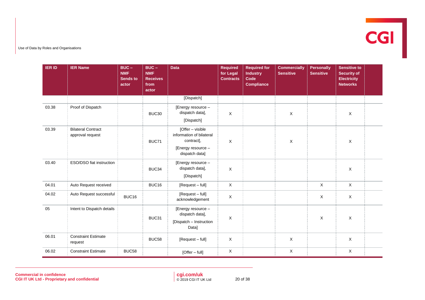

| <b>IER ID</b> | <b>IER Name</b>                               | $BUC -$<br><b>NMF</b><br><b>Sends to</b><br>actor | $BUC -$<br><b>NMF</b><br><b>Receives</b><br>from<br>actor | <b>Data</b>                                                                                        | <b>Required</b><br>for Legal<br><b>Contracts</b> | <b>Required for</b><br><b>Industry</b><br>Code<br><b>Compliance</b> | <b>Commercially</b><br><b>Sensitive</b> | Personally<br><b>Sensitive</b> | <b>Sensitive to</b><br><b>Security of</b><br><b>Electricity</b><br><b>Networks</b> |  |
|---------------|-----------------------------------------------|---------------------------------------------------|-----------------------------------------------------------|----------------------------------------------------------------------------------------------------|--------------------------------------------------|---------------------------------------------------------------------|-----------------------------------------|--------------------------------|------------------------------------------------------------------------------------|--|
|               |                                               |                                                   |                                                           | [Dispatch]                                                                                         |                                                  |                                                                     |                                         |                                |                                                                                    |  |
| 03.38         | Proof of Dispatch                             |                                                   | BUC30                                                     | [Energy resource -<br>dispatch data],<br>[Dispatch]                                                | $\mathsf X$                                      |                                                                     | $\mathsf X$                             |                                | X                                                                                  |  |
| 03.39         | <b>Bilateral Contract</b><br>approval request |                                                   | BUC71                                                     | [Offer - visible<br>information of bilateral<br>contract],<br>[Energy resource -<br>dispatch data] | X                                                |                                                                     | X                                       |                                | X                                                                                  |  |
| 03.40         | ESO/DSO fiat instruction                      |                                                   | BUC34                                                     | [Energy resource -<br>dispatch data],<br>[Dispatch]                                                | $\pmb{\times}$                                   |                                                                     |                                         |                                | X                                                                                  |  |
| 04.01         | Auto Request received                         |                                                   | BUC16                                                     | [Request - full]                                                                                   | Χ                                                |                                                                     |                                         | $\mathsf X$                    | $\mathsf X$                                                                        |  |
| 04.02         | Auto Request successful                       | BUC16                                             |                                                           | [Request - full]<br>acknowledgement                                                                | X                                                |                                                                     |                                         | X                              | X                                                                                  |  |
| 05            | Intent to Dispatch details                    |                                                   | BUC31                                                     | [Energy resource -<br>dispatch data],<br>[Dispatch - Instruction<br>Data]                          | X                                                |                                                                     |                                         | X                              | $\mathsf X$                                                                        |  |
| 06.01         | <b>Constraint Estimate</b><br>request         |                                                   | BUC58                                                     | [Request - full]                                                                                   | $\mathsf X$                                      |                                                                     | $\mathsf{X}$                            |                                | X                                                                                  |  |
| 06.02         | <b>Constraint Estimate</b>                    | <b>BUC58</b>                                      |                                                           | [Offer - full]                                                                                     | X                                                |                                                                     | X                                       |                                | X                                                                                  |  |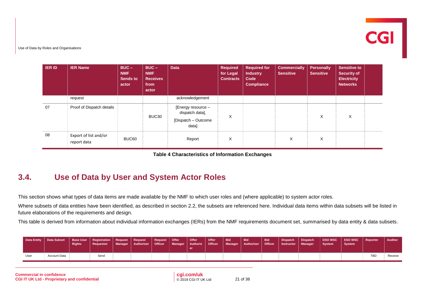

| <b>IER ID</b> | <b>IER Name</b>                      | $BUC -$<br><b>NMF</b><br><b>Sends to</b><br>actor | $BUC -$<br><b>NMF</b><br><b>Receives</b><br>from<br>actor | <b>Data</b>                                                           | <b>Required</b><br>for Legal<br><b>Contracts</b> | <b>Required for</b><br>Industry<br>Code<br><b>Compliance</b> | <b>Commercially</b><br><b>Sensitive</b> | <b>Personally</b><br><b>Sensitive</b> | <b>Sensitive to</b><br><b>Security of</b><br><b>Electricity</b><br><b>Networks</b> |  |
|---------------|--------------------------------------|---------------------------------------------------|-----------------------------------------------------------|-----------------------------------------------------------------------|--------------------------------------------------|--------------------------------------------------------------|-----------------------------------------|---------------------------------------|------------------------------------------------------------------------------------|--|
|               | request                              |                                                   |                                                           | acknowledgement                                                       |                                                  |                                                              |                                         |                                       |                                                                                    |  |
| 07            | Proof of Dispatch details            |                                                   | BUC30                                                     | [Energy resource -<br>dispatch data],<br>[Dispatch - Outcome<br>data] | X                                                |                                                              |                                         | X                                     | Χ                                                                                  |  |
| 08            | Export of list and/or<br>report data | BUC60                                             |                                                           | Report                                                                | X                                                |                                                              | X                                       | X                                     |                                                                                    |  |

|  | <b>Table 4 Characteristics of Information Exchanges</b> |  |  |  |
|--|---------------------------------------------------------|--|--|--|
|--|---------------------------------------------------------|--|--|--|

#### <span id="page-19-1"></span>**3.4. Use of Data by User and System Actor Roles**

This section shows what types of data items are made available by the NMF to which user roles and (where applicable) to system actor roles.

Where subsets of data entities have been identified, as described in section [2.2,](#page-8-1) the subsets are referenced here. Individual data items within data subsets will be listed in future elaborations of the requirements and design*.*

This table is derived from information about individual information exchanges (IERs) from the NMF requirements document set, summarised by data entity & data subsets.

<span id="page-19-0"></span>

|      | 7 Data Entity   Data Subset   Base User   Registration   Request   Request | Rights <sup>1</sup> | Reauestor | Manager Authoriser Officer Manager Authoris | Request Offer   Offer | Offer<br>Officer | <b>Bid</b> | Bid<br>Manager Authoriser Officer Instructor Manager | <b>Bid</b> | <b>Dispatch</b> | <b>Dispatch</b> | System | DSO WSC ESO WSC Reporter<br>System |     | Auditor |
|------|----------------------------------------------------------------------------|---------------------|-----------|---------------------------------------------|-----------------------|------------------|------------|------------------------------------------------------|------------|-----------------|-----------------|--------|------------------------------------|-----|---------|
| User | Account Data                                                               |                     | Send      |                                             |                       |                  |            |                                                      |            |                 |                 |        |                                    | TRL | Receive |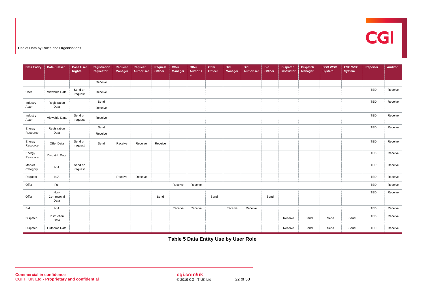

| <b>Data Entity</b> | <b>Data Subset</b>         | <b>Base User</b><br><b>Rights</b> | Registration<br><b>Requestor</b> | Request<br><b>Manager</b> | Request<br>Authoriser | Request<br>Officer | Offer<br><b>Manager</b> | Offer<br><b>Authoris</b><br>er | Offer<br>Officer | <b>Bid</b><br>Manager | <b>Bid</b><br>Authoriser | <b>Bid</b><br>Officer | <b>Dispatch</b><br>Instructor | <b>Dispatch</b><br><b>Manager</b> | <b>DSO WSC</b><br>System | <b>ESO WSC</b><br><b>System</b> | Reporter   | <b>Auditor</b> |
|--------------------|----------------------------|-----------------------------------|----------------------------------|---------------------------|-----------------------|--------------------|-------------------------|--------------------------------|------------------|-----------------------|--------------------------|-----------------------|-------------------------------|-----------------------------------|--------------------------|---------------------------------|------------|----------------|
|                    |                            |                                   | Receive                          |                           |                       |                    |                         |                                |                  |                       |                          |                       |                               |                                   |                          |                                 |            |                |
| User               | Viewable Data              | Send on<br>request                | Receive                          |                           |                       |                    |                         |                                |                  |                       |                          |                       |                               |                                   |                          |                                 | TBD        | Receive        |
| Industry<br>Actor  | Registration<br>Data       |                                   | Send<br>Receive                  |                           |                       |                    |                         |                                |                  |                       |                          |                       |                               |                                   |                          |                                 | TBD        | Receive        |
| Industry<br>Actor  | Viewable Data              | Send on<br>request                | Receive                          |                           |                       |                    |                         |                                |                  |                       |                          |                       |                               |                                   |                          |                                 | TBD        | Receive        |
| Energy<br>Resource | Registration<br>Data       |                                   | Send<br>Receive                  |                           |                       |                    |                         |                                |                  |                       |                          |                       |                               |                                   |                          |                                 | <b>TBD</b> | Receive        |
| Energy<br>Resource | Offer Data                 | Send on<br>request                | Send                             | Receive                   | Receive               | Receive            |                         |                                |                  |                       |                          |                       |                               |                                   |                          |                                 | TBD        | Receive        |
| Energy<br>Resource | Dispatch Data              |                                   |                                  |                           |                       |                    |                         |                                |                  |                       |                          |                       |                               |                                   |                          |                                 | TBD        | Receive        |
| Market<br>Category | N/A                        | Send on<br>request                |                                  |                           |                       |                    |                         |                                |                  |                       |                          |                       |                               |                                   |                          |                                 | TBD        | Receive        |
| Request            | N/A                        |                                   |                                  | Receive                   | Receive               |                    |                         |                                |                  |                       |                          |                       |                               |                                   |                          |                                 | TBD        | Receive        |
| Offer              | Full                       |                                   |                                  |                           |                       |                    | Receive                 | Receive                        |                  |                       |                          |                       |                               |                                   |                          |                                 | TBD        | Receive        |
| Offer              | Non-<br>Commercial<br>Data |                                   |                                  |                           |                       | Send               |                         |                                | Send             |                       |                          | Send                  |                               |                                   |                          |                                 | <b>TBD</b> | Receive        |
| Bid                | N/A                        |                                   |                                  |                           |                       |                    | Receive                 | Receive                        |                  | Receive               | Receive                  |                       |                               |                                   |                          |                                 | TBD        | Receive        |
| Dispatch           | Instruction<br>Data        |                                   |                                  |                           |                       |                    |                         |                                |                  |                       |                          |                       | Receive                       | Send                              | Send                     | Send                            | <b>TBD</b> | Receive        |
| Dispatch           | Outcome Data               |                                   |                                  |                           |                       |                    |                         |                                |                  |                       |                          |                       | Receive                       | Send                              | Send                     | Send                            | <b>TBD</b> | Receive        |

<span id="page-20-0"></span>**Table 5 Data Entity Use by User Role**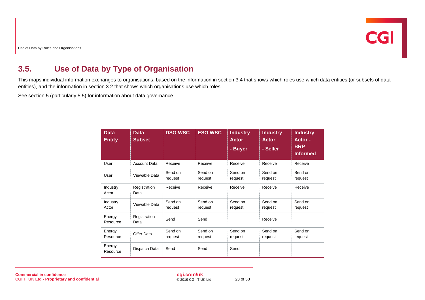## <span id="page-21-0"></span>**3.5. Use of Data by Type of Organisation**

This maps individual information exchanges to organisations, based on the information in section [3.4](#page-19-1) that shows which roles use which data entities (or subsets of data entities), and the information in section [3.2](#page-11-0) that shows which organisations use which roles.

See section [5](#page-28-0) (particularly [5.5\)](#page-31-1) for information about data governance.

| <b>Data</b><br><b>Entity</b> | <b>Data</b><br><b>Subset</b> | <b>DSO WSC</b>     | <b>ESO WSC</b>     | <b>Industry</b><br><b>Actor</b><br>- Buyer | <b>Industry</b><br><b>Actor</b><br>- Seller | <b>Industry</b><br>Actor-<br><b>BRP</b><br><b>Informed</b> |
|------------------------------|------------------------------|--------------------|--------------------|--------------------------------------------|---------------------------------------------|------------------------------------------------------------|
| User                         | <b>Account Data</b>          | Receive            | Receive            | Receive                                    | Receive                                     | Receive                                                    |
| User                         | Viewable Data                | Send on<br>request | Send on<br>request | Send on<br>request                         | Send on<br>request                          | Send on<br>request                                         |
| Industry<br>Actor            | Registration<br>Data         | Receive            | Receive            | Receive                                    | Receive                                     | Receive                                                    |
| Industry<br>Actor            | Viewable Data                | Send on<br>request | Send on<br>request | Send on<br>request                         | Send on<br>request                          | Send on<br>request                                         |
| Energy<br>Resource           | Registration<br>Data         | Send               | Send               |                                            | Receive                                     |                                                            |
| Energy<br>Resource           | Offer Data                   | Send on<br>request | Send on<br>request | Send on<br>request                         | Send on<br>request                          | Send on<br>request                                         |
| Energy<br>Resource           | Dispatch Data                | Send               | Send               | Send                                       |                                             |                                                            |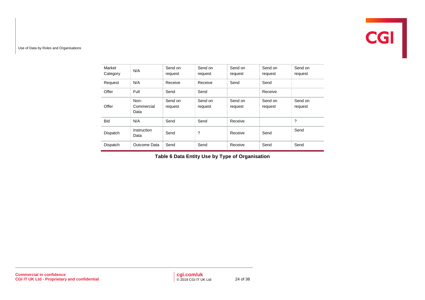| Market<br>Category | N/A                        | Send on<br>request | Send on<br>request | Send on<br>request | Send on<br>request | Send on<br>request |
|--------------------|----------------------------|--------------------|--------------------|--------------------|--------------------|--------------------|
| Request            | N/A                        | Receive            | Receive            | Send               | Send               |                    |
| Offer              | Full                       | Send               | Send               |                    | Receive            |                    |
| Offer              | Non-<br>Commercial<br>Data | Send on<br>request | Send on<br>request | Send on<br>request | Send on<br>request | Send on<br>request |
| <b>Bid</b>         | N/A                        | Send               | Send               | Receive            |                    | $\overline{?}$     |
| Dispatch           | Instruction<br>Data        | Send               | ?                  | Receive            | Send               | Send               |
| Dispatch           | Outcome Data               | Send               | Send               | Receive            | Send               | Send               |

<span id="page-22-0"></span>**Table 6 Data Entity Use by Type of Organisation**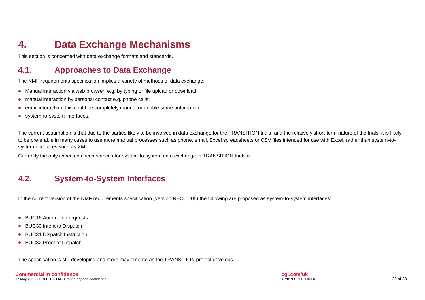# **4. Data Exchange Mechanisms**

This section is concerned with data exchange formats and standards.

## **4.1. Approaches to Data Exchange**

The NMF requirements specification implies a variety of methods of data exchange:

- Manual interaction via web browser, e.g. by typing or file upload or download;
- manual interaction by personal contact e.g. phone calls;
- email interaction; this could be completely manual or enable some automation;
- system-to-system interfaces.

The current assumption is that due to the parties likely to be involved in data exchange for the TRANSITION trials, and the relatively short-term nature of the trials, it is likely to be preferable in many cases to use more manual processes such as phone, email, Excel spreadsheets or CSV files intended for use with Excel, rather than system-tosystem interfaces such as XML.

Currently the only expected circumstances for system-to-system data exchange in TRANSITION trials is

#### **4.2. System-to-System Interfaces**

In the current version of the NMF requirements specification (version REQ01-05) the following are proposed as system-to-system interfaces:

- BUC16 Automated requests;
- BUC30 Intent to Dispatch;
- BUC31 Dispatch Instruction;
- BUC32 Proof of Dispatch.

The specification is still developing and more may emerge as the TRANSITION project develops.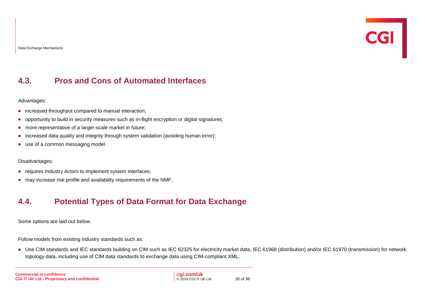#### **4.3. Pros and Cons of Automated Interfaces**

Advantages:

- increased throughput compared to manual interaction;
- opportunity to build in security measures such as in-flight encryption or digital signatures;
- more representative of a larger-scale market in future;
- increased data quality and integrity through system validation (avoiding human error);
- use of a common messaging model.

#### Disadvantages:

- requires Industry Actors to implement system interfaces;
- may increase risk profile and availability requirements of the NMF.

#### **4.4. Potential Types of Data Format for Data Exchange**

Some options are laid out below.

Follow models from existing industry standards such as:

• Use CIM standards and IEC standards building on CIM such as IEC 62325 for electricity market data, IEC 61968 (distribution) and/or IEC 61970 (transmission) for network topology data, including use of CIM data standards to exchange data using CIM-compliant XML;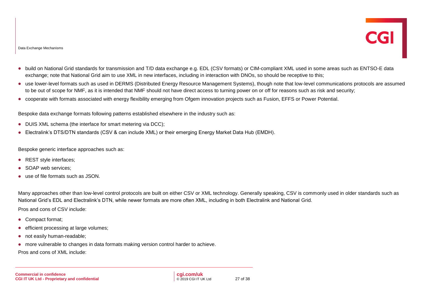Data Exchange Mechanisms

- build on National Grid standards for transmission and T/D data exchange e.g. EDL (CSV formats) or CIM-compliant XML used in some areas such as ENTSO-E data exchange; note that National Grid aim to use XML in new interfaces, including in interaction with DNOs, so should be receptive to this;
- use lower-level formats such as used in DERMS (Distributed Energy Resource Management Systems), though note that low-level communications protocols are assumed to be out of scope for NMF, as it is intended that NMF should not have direct access to turning power on or off for reasons such as risk and security;
- cooperate with formats associated with energy flexibility emerging from Ofgem innovation projects such as Fusion, EFFS or Power Potential.

Bespoke data exchange formats following patterns established elsewhere in the industry such as:

- DUIS XML schema (the interface for smart metering via DCC):
- Electralink's DTS/DTN standards (CSV & can include XML) or their emerging Energy Market Data Hub (EMDH).

Bespoke generic interface approaches such as:

- REST style interfaces;
- SOAP web services;
- use of file formats such as JSON.

Many approaches other than low-level control protocols are built on either CSV or XML technology. Generally speaking, CSV is commonly used in older standards such as National Grid's EDL and Electralink's DTN, while newer formats are more often XML, including in both Electralink and National Grid.

Pros and cons of CSV include:

- Compact format;
- efficient processing at large volumes;
- not easily human-readable;
- more vulnerable to changes in data formats making version control harder to achieve.

Pros and cons of XML include: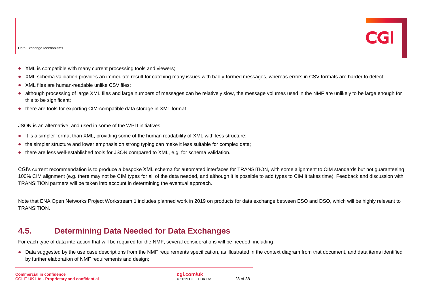- XML is compatible with many current processing tools and viewers;
- XML schema validation provides an immediate result for catching many issues with badly-formed messages, whereas errors in CSV formats are harder to detect;
- XML files are human-readable unlike CSV files:
- although processing of large XML files and large numbers of messages can be relatively slow, the message volumes used in the NMF are unlikely to be large enough for this to be significant;
- there are tools for exporting CIM-compatible data storage in XML format.

JSON is an alternative, and used in some of the WPD initiatives:

- It is a simpler format than XML, providing some of the human readability of XML with less structure;
- the simpler structure and lower emphasis on strong typing can make it less suitable for complex data;
- there are less well-established tools for JSON compared to XML, e.g. for schema validation.

CGI's current recommendation is to produce a bespoke XML schema for automated interfaces for TRANSITION, with some alignment to CIM standards but not guaranteeing 100% CIM alignment (e.g. there may not be CIM types for all of the data needed, and although it is possible to add types to CIM it takes time). Feedback and discussion with TRANSITION partners will be taken into account in determining the eventual approach.

Note that ENA Open Networks Project Workstream 1 includes planned work in 2019 on products for data exchange between ESO and DSO, which will be highly relevant to TRANSITION.

#### **4.5. Determining Data Needed for Data Exchanges**

For each type of data interaction that will be required for the NMF, several considerations will be needed, including:

• Data suggested by the use case descriptions from the NMF requirements specification, as illustrated in the context diagram from that document, and data items identified by further elaboration of NMF requirements and design;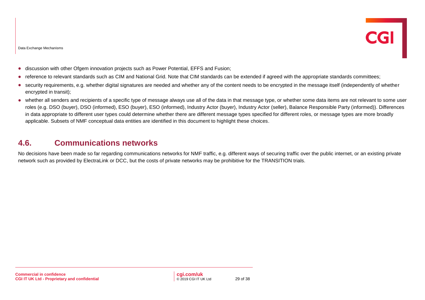- discussion with other Ofgem innovation projects such as Power Potential, EFFS and Fusion;
- reference to relevant standards such as CIM and National Grid. Note that CIM standards can be extended if agreed with the appropriate standards committees;
- security requirements, e.g. whether digital signatures are needed and whether any of the content needs to be encrypted in the message itself (independently of whether encrypted in transit);
- whether all senders and recipients of a specific type of message always use all of the data in that message type, or whether some data items are not relevant to some user roles (e.g. DSO (buyer), DSO (informed), ESO (buyer), ESO (informed), Industry Actor (buyer), Industry Actor (seller), Balance Responsible Party (informed)). Differences in data appropriate to different user types could determine whether there are different message types specified for different roles, or message types are more broadly applicable. Subsets of NMF conceptual data entities are identified in this document to highlight these choices.

#### **4.6. Communications networks**

No decisions have been made so far regarding communications networks for NMF traffic, e.g. different ways of securing traffic over the public internet, or an existing private network such as provided by ElectraLink or DCC, but the costs of private networks may be prohibitive for the TRANSITION trials.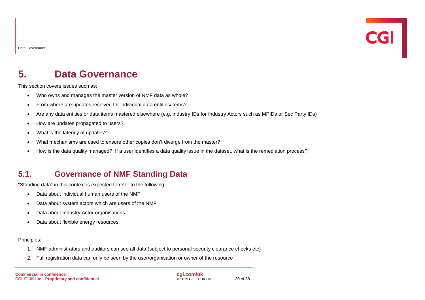Data Governance

# <span id="page-28-0"></span>**5. Data Governance**

This section covers issues such as:

- Who owns and manages the master version of NMF data as whole?
- From where are updates received for individual data entities/items?
- Are any data entities or data items mastered elsewhere (e.g. industry IDs for Industry Actors such as MPIDs or Sec Party IDs)
- How are updates propagated to users?
- What is the latency of updates?
- What mechanisms are used to ensure other copies don't diverge from the master?
- How is the data quality managed? If a user identifies a data quality issue in the dataset, what is the remediation process?

#### **5.1. Governance of NMF Standing Data**

"Standing data" in this context is expected to refer to the following:

- Data about individual human users of the NMF
- Data about system actors which are users of the NMF
- Data about Industry Actor organisations
- Data about flexible energy resources

#### Principles:

- 1. NMF administrators and auditors can see all data (subject to personal security clearance checks etc)
- 2. Full registration data can only be seen by the user/organisation or owner of the resource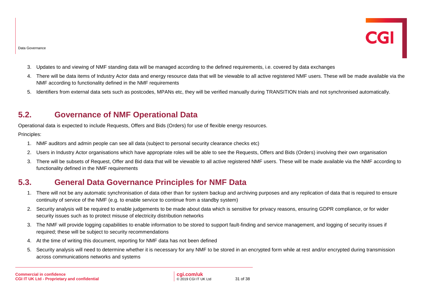- 3. Updates to and viewing of NMF standing data will be managed according to the defined requirements, i.e. covered by data exchanges
- 4. There will be data items of Industry Actor data and energy resource data that will be viewable to all active registered NMF users. These will be made available via the NMF according to functionality defined in the NMF requirements
- 5. Identifiers from external data sets such as postcodes, MPANs etc, they will be verified manually during TRANSITION trials and not synchronised automatically.

#### **5.2. Governance of NMF Operational Data**

Operational data is expected to include Requests, Offers and Bids (Orders) for use of flexible energy resources.

#### Principles:

- 1. NMF auditors and admin people can see all data (subject to personal security clearance checks etc)
- 2. Users in Industry Actor organisations which have appropriate roles will be able to see the Requests, Offers and Bids (Orders) involving their own organisation
- 3. There will be subsets of Request, Offer and Bid data that will be viewable to all active registered NMF users. These will be made available via the NMF according to functionality defined in the NMF requirements

#### **5.3. General Data Governance Principles for NMF Data**

- 1. There will not be any automatic synchronisation of data other than for system backup and archiving purposes and any replication of data that is required to ensure continuity of service of the NMF (e.g. to enable service to continue from a standby system)
- 2. Security analysis will be required to enable judgements to be made about data which is sensitive for privacy reasons, ensuring GDPR compliance, or for wider security issues such as to protect misuse of electricity distribution networks
- 3. The NMF will provide logging capabilities to enable information to be stored to support fault-finding and service management, and logging of security issues if required; these will be subject to security recommendations
- 4. At the time of writing this document, reporting for NMF data has not been defined
- 5. Security analysis will need to determine whether it is necessary for any NMF to be stored in an encrypted form while at rest and/or encrypted during transmission across communications networks and systems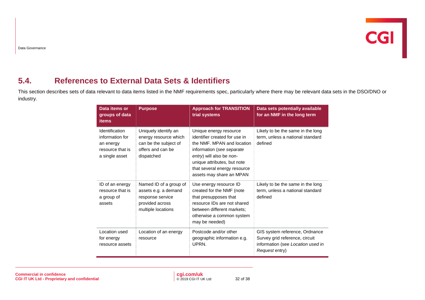## **5.4. References to External Data Sets & Identifiers**

This section describes sets of data relevant to data items listed in the NMF requirements spec, particularly where there may be relevant data sets in the DSO/DNO or industry.

| Data items or<br>groups of data<br><b>items</b>                                      | <b>Purpose</b>                                                                                              | <b>Approach for TRANSITION</b><br>trial systems                                                                                                                                                                                           | Data sets potentially available<br>for an NMF in the long term                                                          |
|--------------------------------------------------------------------------------------|-------------------------------------------------------------------------------------------------------------|-------------------------------------------------------------------------------------------------------------------------------------------------------------------------------------------------------------------------------------------|-------------------------------------------------------------------------------------------------------------------------|
| Identification<br>information for<br>an energy<br>resource that is<br>a single asset | Uniquely identify an<br>energy resource which<br>can be the subject of<br>offers and can be<br>dispatched   | Unique energy resource<br>identifier created for use in<br>the NMF. MPAN and location<br>information (see separate<br>entry) will also be non-<br>unique attributes, but note<br>that several energy resource<br>assets may share an MPAN | Likely to be the same in the long<br>term, unless a national standard<br>defined                                        |
| ID of an energy<br>resource that is<br>a group of<br>assets                          | Named ID of a group of<br>assets e.g. a demand<br>response service<br>provided across<br>multiple locations | Use energy resource ID<br>created for the NMF (note<br>that presupposes that<br>resource IDs are not shared<br>between different markets;<br>otherwise a common system<br>may be needed)                                                  | Likely to be the same in the long<br>term, unless a national standard<br>defined                                        |
| Location used<br>for energy<br>resource assets                                       | Location of an energy<br>resource                                                                           | Postcode and/or other<br>geographic information e.g.<br>UPRN.                                                                                                                                                                             | GIS system reference, Ordnance<br>Survey grid reference, circuit<br>information (see Location used in<br>Request entry) |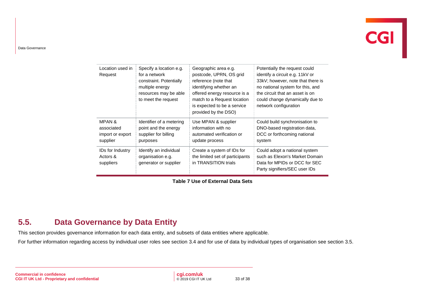# $\overline{\text{CGI}}$

#### Data Governance

| Location used in<br>Request                                     | Specify a location e.g.<br>for a network<br>constraint. Potentially<br>multiple energy<br>resources may be able<br>to meet the request | Geographic area e.g.<br>postcode, UPRN, OS grid<br>reference (note that<br>identifying whether an<br>offered energy resource is a<br>match to a Request location<br>is expected to be a service<br>provided by the DSO) | Potentially the request could<br>identify a circuit e.g. 11kV or<br>33kV; however, note that there is<br>no national system for this, and<br>the circuit that an asset is on<br>could change dynamically due to<br>network configuration |
|-----------------------------------------------------------------|----------------------------------------------------------------------------------------------------------------------------------------|-------------------------------------------------------------------------------------------------------------------------------------------------------------------------------------------------------------------------|------------------------------------------------------------------------------------------------------------------------------------------------------------------------------------------------------------------------------------------|
| <b>MPAN &amp;</b><br>associated<br>import or export<br>supplier | Identifier of a metering<br>point and the energy<br>supplier for billing<br>purposes                                                   | Use MPAN & supplier<br>information with no<br>automated verification or<br>update process                                                                                                                               | Could build synchronisation to<br>DNO-based registration data,<br>DCC or forthcoming national<br>system                                                                                                                                  |
| <b>IDs for Industry</b><br>Actors &<br>suppliers                | Identify an individual<br>organisation e.g.<br>generator or supplier                                                                   | Create a system of IDs for<br>the limited set of participants<br>in TRANSITION trials                                                                                                                                   | Could adopt a national system<br>such as Elexon's Market Domain<br>Data for MPIDs or DCC for SEC<br>Party signifiers/SEC user IDs                                                                                                        |

**Table 7 Use of External Data Sets**

#### <span id="page-31-1"></span>**5.5. Data Governance by Data Entity**

This section provides governance information for each data entity, and subsets of data entities where applicable.

<span id="page-31-0"></span>For further information regarding access by individual user roles see section [3.4](#page-19-1) and for use of data by individual types of organisation see section [3.5.](#page-21-0)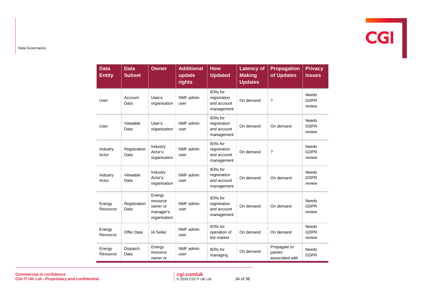

Data Governance

| <b>Data</b><br><b>Entity</b> | <b>Data</b><br><b>Subset</b> | <b>Owner</b>                                                | <b>Additional</b><br>update<br>rights | <b>How</b><br><b>Updated</b>                                 | <b>Latency of</b><br><b>Making</b><br><b>Updates</b> | <b>Propagation</b><br>of Updates           | <b>Privacy</b><br><b>Issues</b>       |
|------------------------------|------------------------------|-------------------------------------------------------------|---------------------------------------|--------------------------------------------------------------|------------------------------------------------------|--------------------------------------------|---------------------------------------|
| User                         | Account<br>Data              | User's<br>organisation                                      | NMF admin<br>user                     | IERs for<br>registration<br>and account<br>management        | On demand                                            | ?                                          | <b>Needs</b><br><b>GDPR</b><br>review |
| User                         | Viewable<br>Data             | User's<br>organisation                                      | NMF admin<br>user                     | <b>IERs</b> for<br>registration<br>and account<br>management | On demand                                            | On demand                                  | <b>Needs</b><br><b>GDPR</b><br>review |
| Industry<br>Actor            | Registration<br>Data         | Industry<br>Actor's<br>organisation                         | NMF admin<br>user                     | IERs for<br>registration<br>and account<br>management        | On demand                                            | ?                                          | <b>Needs</b><br><b>GDPR</b><br>review |
| Industry<br>Actor            | Viewable<br>Data             | Industry<br>Actor's<br>organisation                         | NMF admin<br>user                     | IERs for<br>registration<br>and account<br>management        | On demand                                            | On demand                                  | <b>Needs</b><br><b>GDPR</b><br>review |
| Energy<br>Resource           | Registration<br>Data         | Energy<br>resource<br>owner or<br>manager's<br>organisation | NMF admin<br>user                     | IERs for<br>registration<br>and account<br>management        | On demand                                            | On demand                                  | <b>Needs</b><br><b>GDPR</b><br>review |
| Energy<br>Resource           | Offer Data                   | <b>IA Seller</b>                                            | NMF admin<br>user                     | IERs for<br>operation of<br>the market                       | On demand                                            | On demand                                  | <b>Needs</b><br><b>GDPR</b><br>review |
| Energy<br>Resource           | Dispatch<br>Data             | Energy<br>resource<br>owner or                              | NMF admin<br>user                     | <b>IERs</b> for<br>managing                                  | On demand                                            | Propagate to<br>parties<br>associated with | <b>Needs</b><br><b>GDPR</b>           |

**Commercial in confidence CGI IT UK Ltd - Proprietary and confidential** **cgi.com/uk** © 2019 CGI IT UK Ltd 34 of 38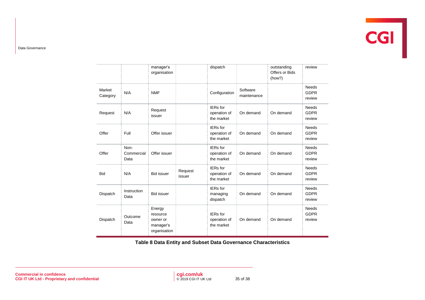# **CGI**

Data Governance

|                    |                            | manager's<br>organisation                                   |                   | dispatch                                      |                         | outstanding<br>Offers or Bids<br>(how?) | review                                |
|--------------------|----------------------------|-------------------------------------------------------------|-------------------|-----------------------------------------------|-------------------------|-----------------------------------------|---------------------------------------|
| Market<br>Category | N/A                        | <b>NMF</b>                                                  |                   | Configuration                                 | Software<br>maintenance |                                         | <b>Needs</b><br><b>GDPR</b><br>review |
| Request            | N/A                        | Request<br>issuer                                           |                   | <b>IERs</b> for<br>operation of<br>the market | On demand               | On demand                               | <b>Needs</b><br><b>GDPR</b><br>review |
| Offer              | Full                       | Offer issuer                                                |                   | <b>IERs</b> for<br>operation of<br>the market | On demand               | On demand                               | <b>Needs</b><br><b>GDPR</b><br>review |
| Offer              | Non-<br>Commercial<br>Data | Offer issuer                                                |                   | <b>IERs</b> for<br>operation of<br>the market | On demand               | On demand                               | <b>Needs</b><br><b>GDPR</b><br>review |
| <b>Bid</b>         | N/A                        | <b>Bid issuer</b>                                           | Request<br>issuer | <b>IERs</b> for<br>operation of<br>the market | On demand               | On demand                               | <b>Needs</b><br><b>GDPR</b><br>review |
| Dispatch           | Instruction<br>Data        | <b>Bid issuer</b>                                           |                   | <b>IERs</b> for<br>managing<br>dispatch       | On demand               | On demand                               | <b>Needs</b><br><b>GDPR</b><br>review |
| Dispatch           | Outcome<br>Data            | Energy<br>resource<br>owner or<br>manager's<br>organisation |                   | <b>IERs</b> for<br>operation of<br>the market | On demand               | On demand                               | <b>Needs</b><br><b>GDPR</b><br>review |

<span id="page-33-0"></span>**Table 8 Data Entity and Subset Data Governance Characteristics**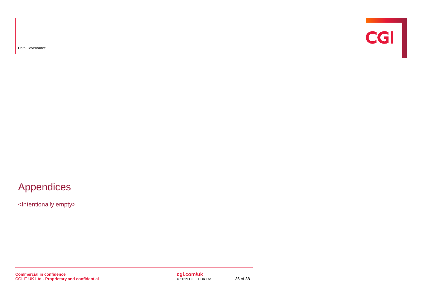Data Governance



## Appendices

<Intentionally empty>

**Commercial in confidence CGI IT UK Ltd - Proprietary and confidential**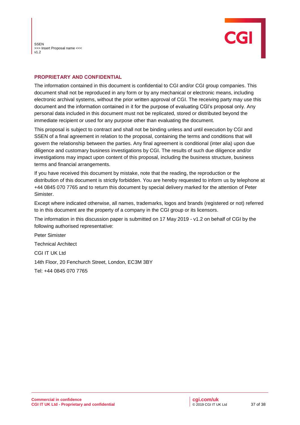**SSEN** >>> Insert Proposal name <<<  $v1.2$ 



#### **PROPRIETARY AND CONFIDENTIAL**

The information contained in this document is confidential to CGI and/or CGI group companies. This document shall not be reproduced in any form or by any mechanical or electronic means, including electronic archival systems, without the prior written approval of CGI. The receiving party may use this document and the information contained in it for the purpose of evaluating CGI's proposal only. Any personal data included in this document must not be replicated, stored or distributed beyond the immediate recipient or used for any purpose other than evaluating the document.

This proposal is subject to contract and shall not be binding unless and until execution by CGI and SSEN of a final agreement in relation to the proposal, containing the terms and conditions that will govern the relationship between the parties. Any final agreement is conditional (inter alia) upon due diligence and customary business investigations by CGI. The results of such due diligence and/or investigations may impact upon content of this proposal, including the business structure, business terms and financial arrangements.

If you have received this document by mistake, note that the reading, the reproduction or the distribution of this document is strictly forbidden. You are hereby requested to inform us by telephone at +44 0845 070 7765 and to return this document by special delivery marked for the attention of Peter Simister.

Except where indicated otherwise, all names, trademarks, logos and brands (registered or not) referred to in this document are the property of a company in the CGI group or its licensors.

The information in this discussion paper is submitted on 17 May 2019 - v1.2 on behalf of CGI by the following authorised representative:

Peter Simister Technical Architect CGI IT UK Ltd 14th Floor, 20 Fenchurch Street, London, EC3M 3BY Tel: +44 0845 070 7765